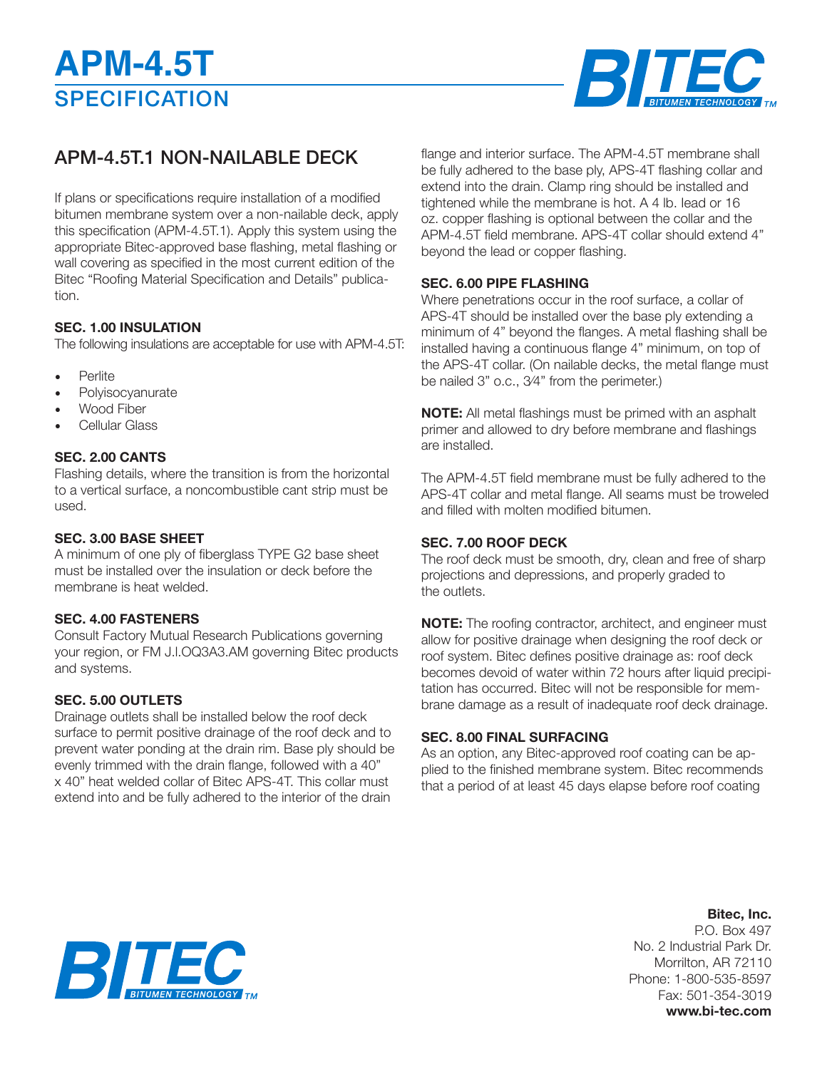

### APM-4.5T.1 NON-NAILABLE DECK

If plans or specifications require installation of a modified bitumen membrane system over a non-nailable deck, apply this specification (APM-4.5T.1). Apply this system using the appropriate Bitec-approved base flashing, metal flashing or wall covering as specified in the most current edition of the Bitec "Roofing Material Specification and Details" publication.

#### **SEC. 1.00 INSULATION**

The following insulations are acceptable for use with APM-4.5T:

- **Perlite**
- **Polyisocyanurate**
- Wood Fiber
- Cellular Glass

#### **SEC. 2.00 CANTS**

Flashing details, where the transition is from the horizontal to a vertical surface, a noncombustible cant strip must be used.

#### **SEC. 3.00 BASE SHEET**

A minimum of one ply of fiberglass TYPE G2 base sheet must be installed over the insulation or deck before the membrane is heat welded.

#### **SEC. 4.00 FASTENERS**

Consult Factory Mutual Research Publications governing your region, or FM J.l.OQ3A3.AM governing Bitec products and systems.

#### **SEC. 5.00 OUTLETS**

Drainage outlets shall be installed below the roof deck surface to permit positive drainage of the roof deck and to prevent water ponding at the drain rim. Base ply should be evenly trimmed with the drain flange, followed with a 40" x 40" heat welded collar of Bitec APS-4T. This collar must extend into and be fully adhered to the interior of the drain

flange and interior surface. The APM-4.5T membrane shall be fully adhered to the base ply, APS-4T flashing collar and extend into the drain. Clamp ring should be installed and tightened while the membrane is hot. A 4 lb. Iead or 16 oz. copper flashing is optional between the collar and the APM-4.5T field membrane. APS-4T collar should extend 4" beyond the lead or copper flashing.

#### **SEC. 6.00 PIPE FLASHING**

Where penetrations occur in the roof surface, a collar of APS-4T should be installed over the base ply extending a minimum of 4" beyond the flanges. A metal flashing shall be installed having a continuous flange 4" minimum, on top of the APS-4T collar. (On nailable decks, the metal flange must be nailed 3" o.c., 3⁄4" from the perimeter.)

**NOTE:** All metal flashings must be primed with an asphalt primer and allowed to dry before membrane and flashings are installed.

The APM-4.5T field membrane must be fully adhered to the APS-4T collar and metal flange. All seams must be troweled and filled with molten modified bitumen.

#### **SEC. 7.00 ROOF DECK**

The roof deck must be smooth, dry, clean and free of sharp projections and depressions, and properly graded to the outlets.

**NOTE:** The roofing contractor, architect, and engineer must allow for positive drainage when designing the roof deck or roof system. Bitec defines positive drainage as: roof deck becomes devoid of water within 72 hours after liquid precipitation has occurred. Bitec will not be responsible for membrane damage as a result of inadequate roof deck drainage.

#### **SEC. 8.00 FINAL SURFACING**

As an option, any Bitec-approved roof coating can be applied to the finished membrane system. Bitec recommends that a period of at least 45 days elapse before roof coating

# BIE

#### **Bitec, Inc.** P.O. Box 497 No. 2 Industrial Park Dr. Morrilton, AR 72110 Phone: 1-800-535-8597 Fax: 501-354-3019 **www.bi-tec.com**